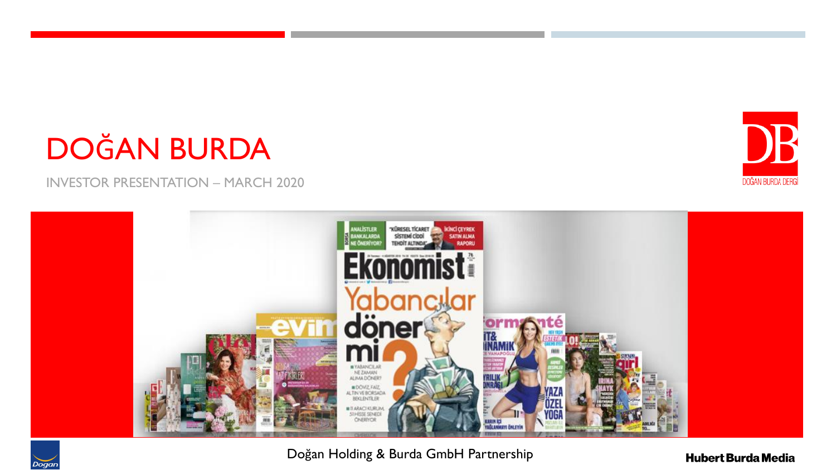# DOĞAN BURDA

INVESTOR PRESENTATION – MARCH 2020



Doğan Holding & Burda GmbH Partnership



DB

DOĞAN BURDA DERGİ

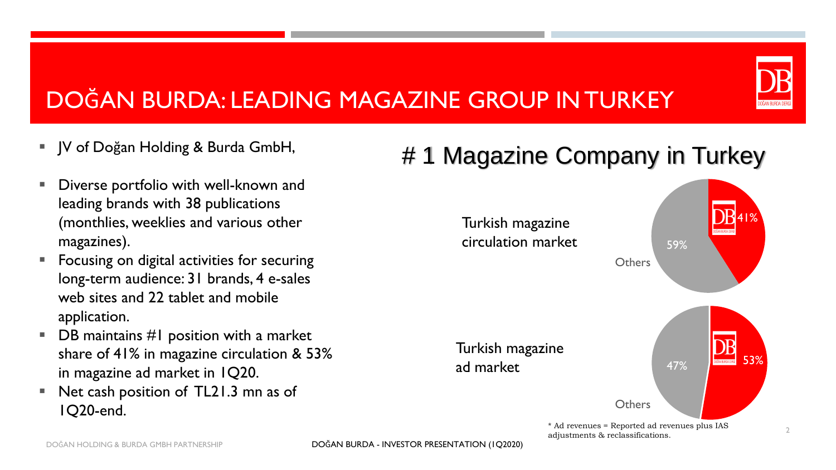# DOĞAN BURDA: LEADING MAGAZINE GROUP IN TURKEY

- JV of Doğan Holding & Burda GmbH,
- Diverse portfolio with well-known and leading brands with 38 publications (monthlies, weeklies and various other magazines).
- Focusing on digital activities for securing long-term audience: 31 brands, 4 e-sales web sites and 22 tablet and mobile application.
- $\blacksquare$  DB maintains #1 position with a market share of 41% in magazine circulation & 53% in magazine ad market in 1Q20.
- Net cash position of TL21.3 mn as of 1Q20-end.

# # 1 Magazine Company in Turkey

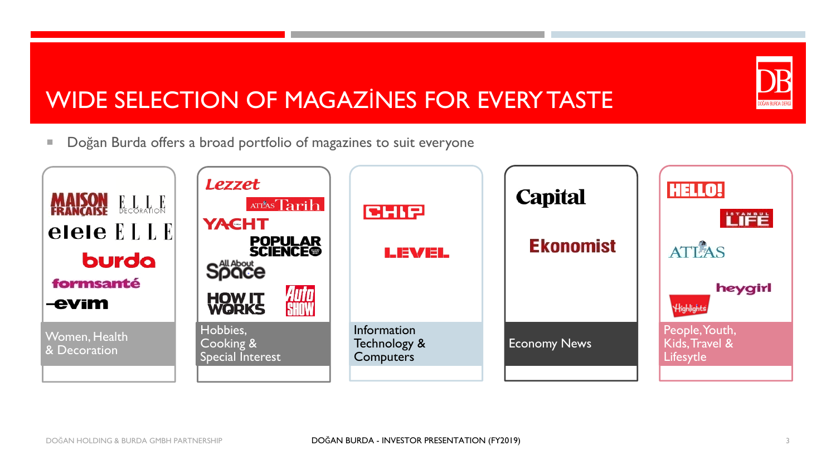# DOĞAN BURDA DERG

# WIDE SELECTION OF MAGAZİNES FOR EVERY TASTE

**Dogan Burda offers a broad portfolio of magazines to suit everyone** 

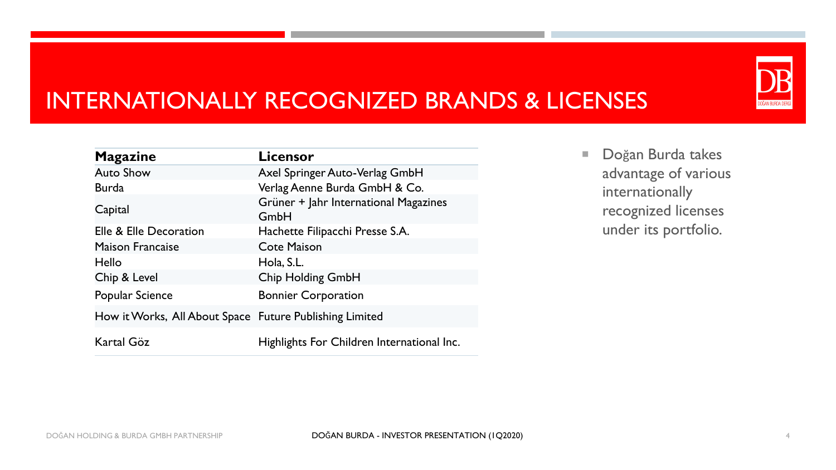# INTERNATIONALLY RECOGNIZED BRANDS & LICENSES

| <b>Magazine</b>                                         | Licensor                                      |
|---------------------------------------------------------|-----------------------------------------------|
| <b>Auto Show</b>                                        | Axel Springer Auto-Verlag GmbH                |
| <b>Burda</b>                                            | Verlag Aenne Burda GmbH & Co.                 |
| Capital                                                 | Grüner + Jahr International Magazines<br>GmbH |
| Elle & Elle Decoration                                  | Hachette Filipacchi Presse S.A.               |
| <b>Maison Francaise</b>                                 | <b>Cote Maison</b>                            |
| Hello                                                   | Hola, S.L.                                    |
| Chip & Level                                            | Chip Holding GmbH                             |
| <b>Popular Science</b>                                  | <b>Bonnier Corporation</b>                    |
| How it Works, All About Space Future Publishing Limited |                                               |
| Kartal Göz                                              | Highlights For Children International Inc.    |

Doğan Burda takes advantage of various internationally recognized licenses under its portfolio.

DOĞAN BURDA DERG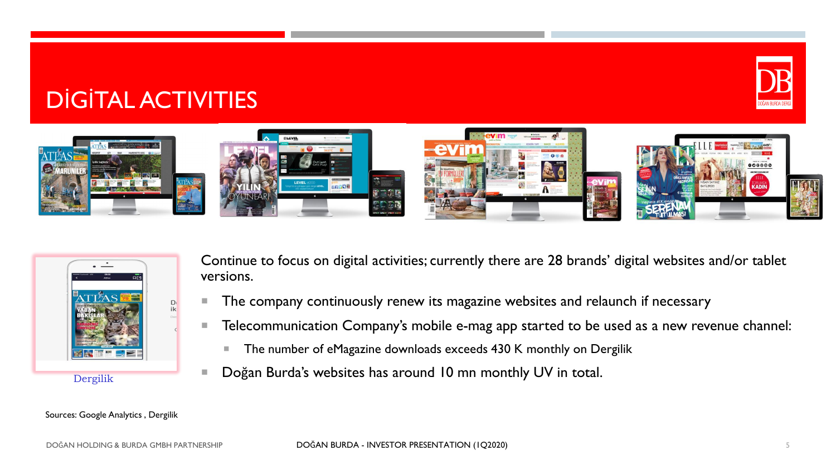# DİGİTAL ACTIVITIES





Continue to focus on digital activities; currently there are 28 brands' digital websites and/or tablet versions.

- The company continuously renew its magazine websites and relaunch if necessary
- **Telecommunication Company's mobile e-mag app started to be used as a new revenue channel:** 
	- The number of eMagazine downloads exceeds 430 K monthly on Dergilik
- Doğan Burda's websites has around 10 mn monthly UV in total.

Sources: Google Analytics , Dergilik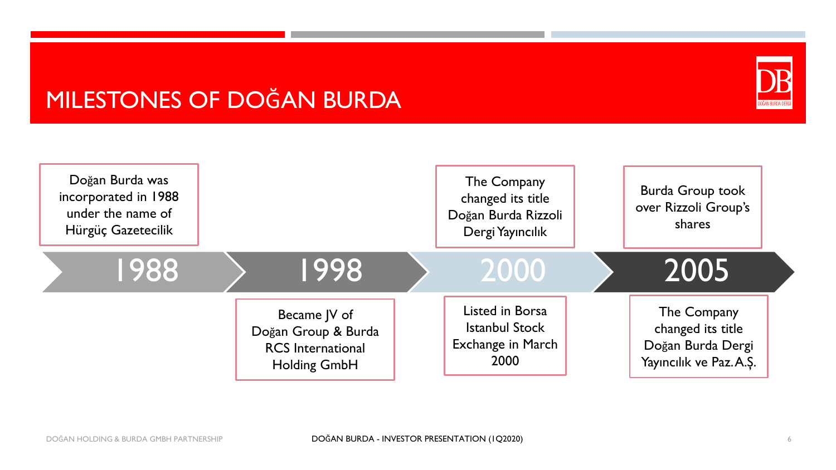# MILESTONES OF DOĞAN BURDA



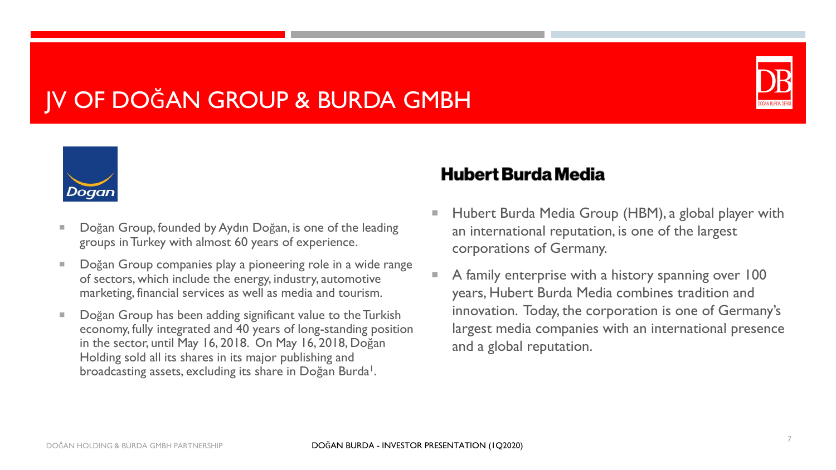# JV OF DOĞAN GROUP & BURDA GMBH





- Doğan Group, founded by Aydın Doğan, is one of the leading groups in Turkey with almost 60 years of experience.
- Doğan Group companies play a pioneering role in a wide range of sectors, which include the energy, industry, automotive marketing, financial services as well as media and tourism.
- Doğan Group has been adding significant value to the Turkish economy, fully integrated and 40 years of long-standing position in the sector, until May 16, 2018. On May 16, 2018, Doğan Holding sold all its shares in its major publishing and broadcasting assets, excluding its share in Doğan Burda<sup>1</sup>.

#### **Hubert Burda Media**

- Hubert Burda Media Group (HBM), a global player with an international reputation, is one of the largest corporations of Germany.
- A family enterprise with a history spanning over 100 years, Hubert Burda Media combines tradition and innovation. Today, the corporation is one of Germany's largest media companies with an international presence and a global reputation.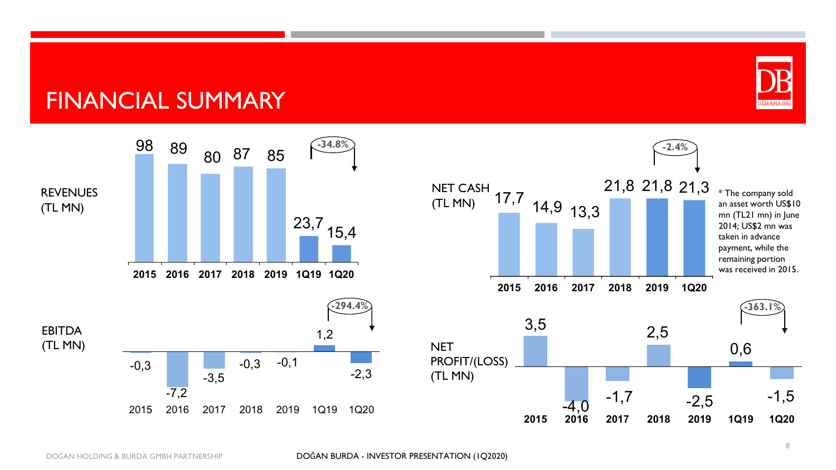#### FINANCIAL SUMMARY





DOĞAN BURDA DERG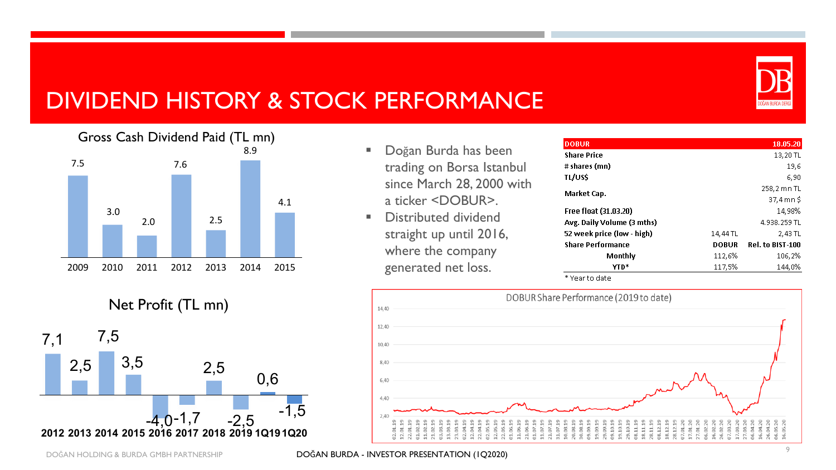

# DIVIDEND HISTORY & STOCK PERFORMANCE



- Doğan Burda has been trading on Borsa Istanbul since March 28, 2000 with a ticker <DOBUR>.
- Distributed dividend straight up until 2016, where the company generated net loss.

| <b>DOBUR</b>               |              | 18.05.20                |
|----------------------------|--------------|-------------------------|
| <b>Share Price</b>         |              | 13,20 TL                |
| # shares (mn)              |              | 19,6                    |
| TL/US\$                    |              | 6,90                    |
| Market Cap.                |              | 258,2 mn TL             |
|                            |              | $37,4$ mn $$$           |
| Free float (31.03.20)      |              | 14.98%                  |
| Avg. Daily Volume (3 mths) |              | 4.938.259 TL            |
| 52 week price (low - high) | 14,44 TL     | 2,43 TL                 |
| <b>Share Performance</b>   | <b>DOBUR</b> | <b>Rel. to BIST-100</b> |
| Monthly                    | 112,6%       | 106,2%                  |
| YTD*                       | 117,5%       | 144,0%                  |

\* Year to date



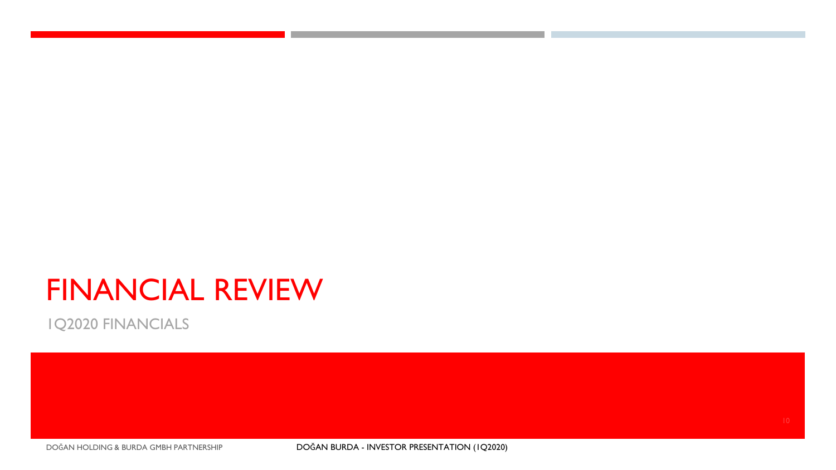# FINANCIAL REVIEW

1Q2020 FINANCIALS

DOĞAN HOLDING & BURDA GMBH PARTNERSHIP DOĞAN BURDA - INVESTOR PRESENTATION (1Q2020)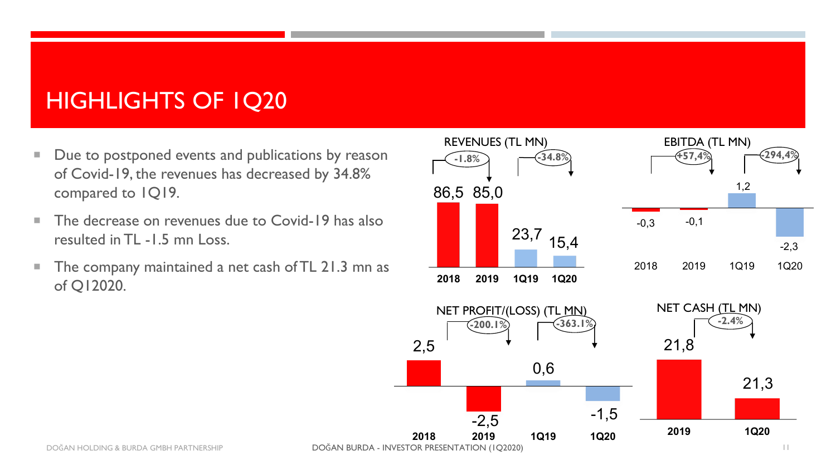# HIGHLIGHTS OF 1Q20

- Due to postponed events and publications by reason of Covid-19, the revenues has decreased by 34.8% compared to 1Q19.
- The decrease on revenues due to Covid-19 has also resulted in TL -1.5 mn Loss.
- The company maintained a net cash of TL 21.3 mn as of Q12020.





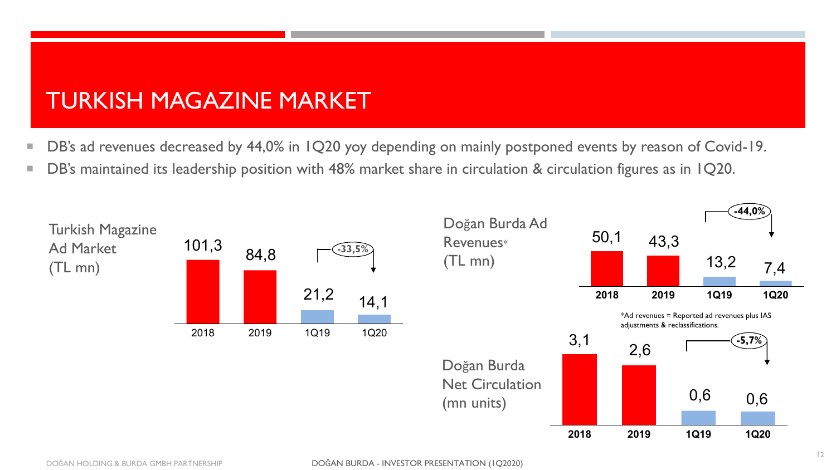# TURKISH MAGAZINE MARKET

- DB's ad revenues decreased by 44,0% in 1Q20 yoy depending on mainly postponed events by reason of Covid-19.
- DB's maintained its leadership position with 48% market share in circulation & circulation figures as in 1Q20.

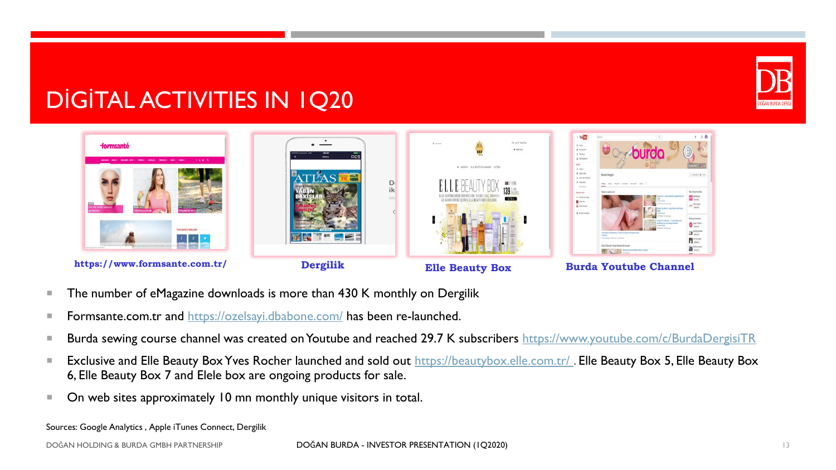

### DİGİTAL ACTIVITIES IN 1Q20



 $https://www.formsante.com.tr/$ 

**Dergilik Burda Burda Youtube Channel** 

- The number of eMagazine downloads is more than 430 K monthly on Dergilik
- **Formsante.com.tr and <https://ozelsayi.dbabone.com/> has been re-launched.**
- Burda sewing course channel was created on Youtube and reached 29.7 K subscribers <https://www.youtube.com/c/BurdaDergisiTR>
- Exclusive and Elle Beauty Box Yves Rocher launched and sold out https://beautybox.elle.com.tr/. Elle Beauty Box 5, Elle Beauty Box 6, Elle Beauty Box 7 and Elele box are ongoing products for sale.
- On web sites approximately 10 mn monthly unique visitors in total.

Sources: Google Analytics , Apple iTunes Connect, Dergilik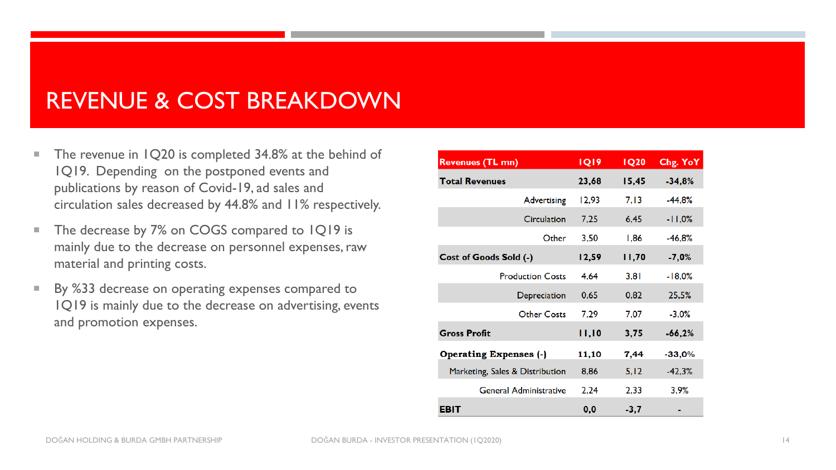#### REVENUE & COST BREAKDOWN

- The revenue in 1Q20 is completed 34.8% at the behind of 1Q19. Depending on the postponed events and publications by reason of Covid-19, ad sales and circulation sales decreased by 44.8% and 11% respectively.
- The decrease by 7% on COGS compared to 1Q19 is mainly due to the decrease on personnel expenses, raw material and printing costs.
- By %33 decrease on operating expenses compared to 1Q19 is mainly due to the decrease on advertising, events and promotion expenses.

| <b>Revenues (TL mn)</b>         | <b>IQ19</b> | <b>IQ20</b> | Chg. YoY |
|---------------------------------|-------------|-------------|----------|
| <b>Total Revenues</b>           | 23,68       | 15,45       | $-34,8%$ |
| Advertising                     | 12,93       | 7,13        | $-44,8%$ |
| Circulation                     | 7,25        | 6,45        | $-11,0%$ |
| Other                           | 3,50        | 1,86        | -46.8%   |
| Cost of Goods Sold (-)          | 12,59       | 11,70       | $-7,0%$  |
| <b>Production Costs</b>         | 4,64        | 3,81        | $-18,0%$ |
| Depreciation                    | 0,65        | 0,82        | 25,5%    |
| <b>Other Costs</b>              | 7,29        | 7,07        | $-3,0%$  |
| <b>Gross Profit</b>             | 11,10       | 3,75        | $-66,2%$ |
| <b>Operating Expenses (-)</b>   | 11,10       | 7,44        | $-33,0%$ |
| Marketing, Sales & Distribution | 8,86        | 5,12        | $-42,3%$ |
| <b>General Administrative</b>   | 2,24        | 2,33        | 3,9%     |
| EBIT                            | 0,0         | $-3,7$      |          |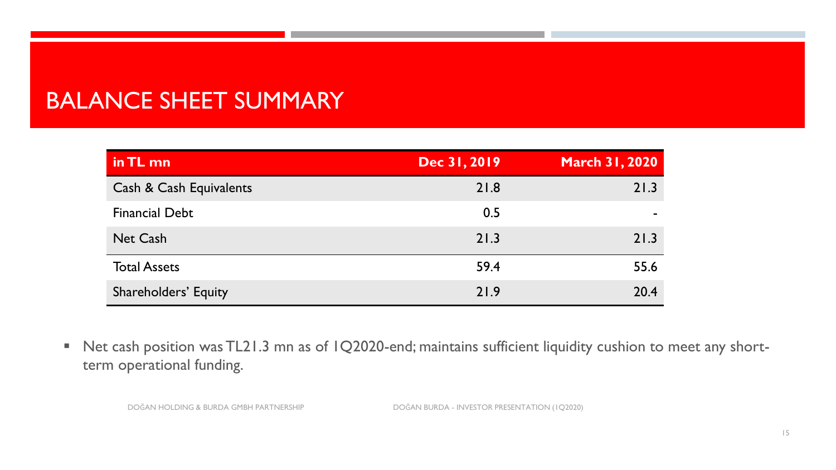# BALANCE SHEET SUMMARY

| in TL mn                    | Dec 31, 2019 | <b>March 31, 2020</b> |
|-----------------------------|--------------|-----------------------|
| Cash & Cash Equivalents     | 21.8         | 21.3                  |
| <b>Financial Debt</b>       | 0.5          |                       |
| <b>Net Cash</b>             | 21.3         | 21.3                  |
| <b>Total Assets</b>         | 59.4         | 55.6                  |
| <b>Shareholders' Equity</b> | 21.9         | 20.4                  |

■ Net cash position was TL21.3 mn as of 1Q2020-end; maintains sufficient liquidity cushion to meet any shortterm operational funding.

DOĞAN HOLDING & BURDA GMBH PARTNERSHIP DOĞAN BURDA - INVESTOR PRESENTATION (1Q2020)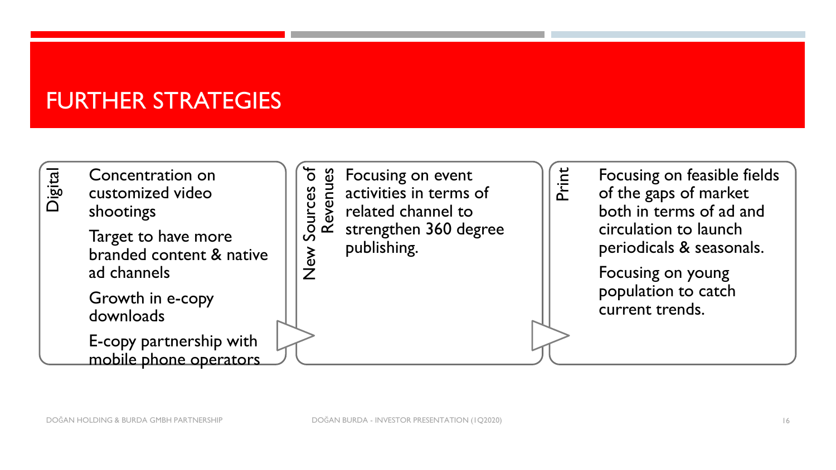#### FURTHER STRATEGIES

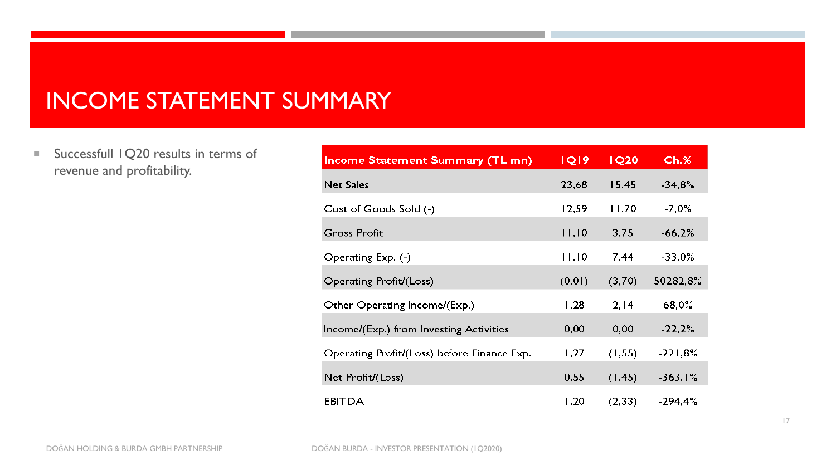#### INCOME STATEMENT SUMMARY

Successfull 1Q20 results in terms of revenue and profitability.

| Income Statement Summary (TL mn)            | <b>IQI9</b> | <b>IQ20</b> | $Ch.$ %   |
|---------------------------------------------|-------------|-------------|-----------|
| <b>Net Sales</b>                            | 23,68       | 15,45       | $-34,8%$  |
| Cost of Goods Sold (-)                      | 12,59       | 11,70       | $-7,0%$   |
| <b>Gross Profit</b>                         | 11,10       | 3,75        | $-66,2%$  |
| Operating Exp. (-)                          | 11,10       | 7,44        | $-33,0%$  |
| Operating Profit/(Loss)                     | (0, 01)     | (3,70)      | 50282,8%  |
| Other Operating Income/(Exp.)               | 1,28        | 2, 14       | 68,0%     |
| Income/(Exp.) from Investing Activities     | 0,00        | 0,00        | $-22,2%$  |
| Operating Profit/(Loss) before Finance Exp. | 1,27        | (1, 55)     | $-221,8%$ |
| Net Profit/(Loss)                           | 0,55        | (1, 45)     | $-363,1%$ |
| <b>EBITDA</b>                               | 1,20        | (2, 33)     | $-294,4%$ |
|                                             |             |             |           |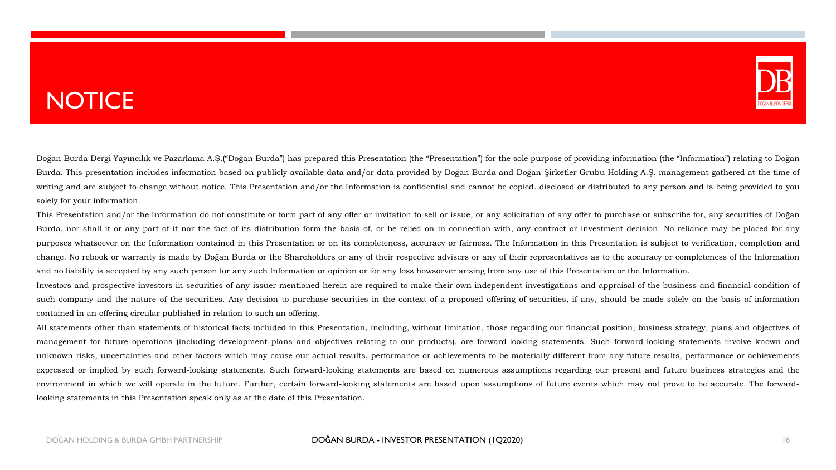# **NOTICE**



Doğan Burda Dergi Yayıncılık ve Pazarlama A.Ş.("Doğan Burda") has prepared this Presentation (the "Presentation") for the sole purpose of providing information (the "Information") relating to Doğan Burda. This presentation includes information based on publicly available data and/or data provided by Doğan Burda and Doğan Şirketler Grubu Holding A.Ş. management gathered at the time of writing and are subject to change without notice. This Presentation and/or the Information is confidential and cannot be copied. disclosed or distributed to any person and is being provided to you solely for your information.

This Presentation and/or the Information do not constitute or form part of any offer or invitation to sell or issue, or any solicitation of any offer to purchase or subscribe for, any securities of Doğan Burda, nor shall it or any part of it nor the fact of its distribution form the basis of, or be relied on in connection with, any contract or investment decision. No reliance may be placed for any purposes whatsoever on the Information contained in this Presentation or on its completeness, accuracy or fairness. The Information in this Presentation is subject to verification, completion and change. No rebook or warranty is made by Doğan Burda or the Shareholders or any of their respective advisers or any of their representatives as to the accuracy or completeness of the Information and no liability is accepted by any such person for any such Information or opinion or for any loss howsoever arising from any use of this Presentation or the Information.

Investors and prospective investors in securities of any issuer mentioned herein are required to make their own independent investigations and appraisal of the business and financial condition of such company and the nature of the securities. Any decision to purchase securities in the context of a proposed offering of securities, if any, should be made solely on the basis of information contained in an offering circular published in relation to such an offering.

All statements other than statements of historical facts included in this Presentation, including, without limitation, those regarding our financial position, business strategy, plans and objectives of management for future operations (including development plans and objectives relating to our products), are forward-looking statements. Such forward-looking statements involve known and unknown risks, uncertainties and other factors which may cause our actual results, performance or achievements to be materially different from any future results, performance or achievements expressed or implied by such forward-looking statements. Such forward-looking statements are based on numerous assumptions regarding our present and future business strategies and the environment in which we will operate in the future. Further, certain forward-looking statements are based upon assumptions of future events which may not prove to be accurate. The forwardlooking statements in this Presentation speak only as at the date of this Presentation.